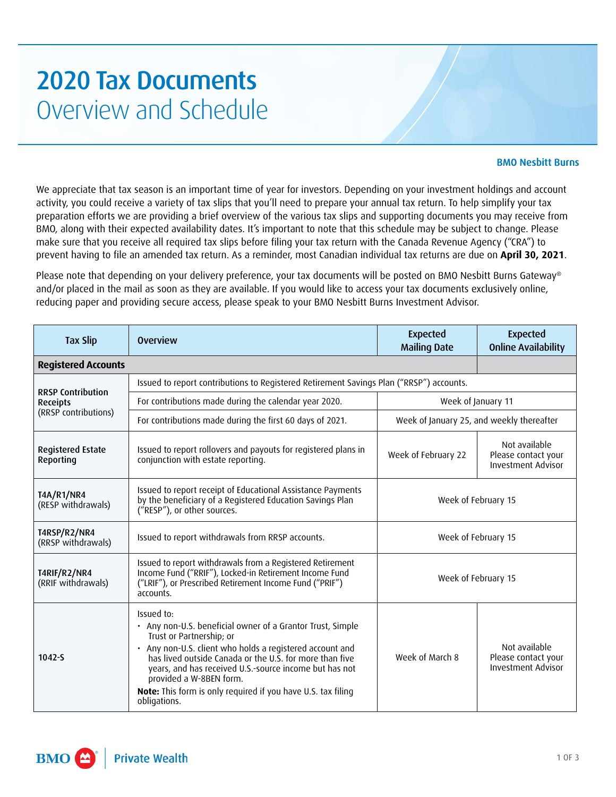## **2020 Tax Documents** Overview and Schedule

## BMO Nesbitt Burns

We appreciate that tax season is an important time of year for investors. Depending on your investment holdings and account activity, you could receive a variety of tax slips that you'll need to prepare your annual tax return. To help simplify your tax preparation efforts we are providing a brief overview of the various tax slips and supporting documents you may receive from BMO, along with their expected availability dates. It's important to note that this schedule may be subject to change. Please make sure that you receive all required tax slips before filing your tax return with the Canada Revenue Agency ("CRA") to prevent having to file an amended tax return. As a reminder, most Canadian individual tax returns are due on **April 30, 2021**.

Please note that depending on your delivery preference, your tax documents will be posted on BMO Nesbitt Burns Gateway® and/or placed in the mail as soon as they are available. If you would like to access your tax documents exclusively online, reducing paper and providing secure access, please speak to your BMO Nesbitt Burns Investment Advisor.

| <b>Tax Slip</b>                                                     | <b>Overview</b>                                                                                                                                                                                                                                                                                                                                                                                         | <b>Expected</b><br><b>Mailing Date</b>    | <b>Expected</b><br><b>Online Availability</b>                     |  |
|---------------------------------------------------------------------|---------------------------------------------------------------------------------------------------------------------------------------------------------------------------------------------------------------------------------------------------------------------------------------------------------------------------------------------------------------------------------------------------------|-------------------------------------------|-------------------------------------------------------------------|--|
| <b>Registered Accounts</b>                                          |                                                                                                                                                                                                                                                                                                                                                                                                         |                                           |                                                                   |  |
| <b>RRSP Contribution</b><br><b>Receipts</b><br>(RRSP contributions) | Issued to report contributions to Registered Retirement Savings Plan ("RRSP") accounts.                                                                                                                                                                                                                                                                                                                 |                                           |                                                                   |  |
|                                                                     | For contributions made during the calendar year 2020.                                                                                                                                                                                                                                                                                                                                                   | Week of January 11                        |                                                                   |  |
|                                                                     | For contributions made during the first 60 days of 2021.                                                                                                                                                                                                                                                                                                                                                | Week of January 25, and weekly thereafter |                                                                   |  |
| <b>Registered Estate</b><br>Reporting                               | Issued to report rollovers and payouts for registered plans in<br>conjunction with estate reporting.                                                                                                                                                                                                                                                                                                    | Week of February 22                       | Not available<br>Please contact your<br><b>Investment Advisor</b> |  |
| <b>T4A/R1/NR4</b><br>(RESP withdrawals)                             | Issued to report receipt of Educational Assistance Payments<br>by the beneficiary of a Registered Education Savings Plan<br>("RESP"), or other sources.                                                                                                                                                                                                                                                 | Week of February 15                       |                                                                   |  |
| T4RSP/R2/NR4<br>(RRSP withdrawals)                                  | Issued to report withdrawals from RRSP accounts.                                                                                                                                                                                                                                                                                                                                                        | Week of February 15                       |                                                                   |  |
| T4RIF/R2/NR4<br>(RRIF withdrawals)                                  | Issued to report withdrawals from a Registered Retirement<br>Income Fund ("RRIF"), Locked-in Retirement Income Fund<br>("LRIF"), or Prescribed Retirement Income Fund ("PRIF")<br>accounts.                                                                                                                                                                                                             | Week of February 15                       |                                                                   |  |
| $1042 - S$                                                          | Issued to:<br>• Any non-U.S. beneficial owner of a Grantor Trust, Simple<br>Trust or Partnership; or<br>• Any non-U.S. client who holds a registered account and<br>has lived outside Canada or the U.S. for more than five<br>years, and has received U.S.-source income but has not<br>provided a W-8BEN form.<br><b>Note:</b> This form is only required if you have U.S. tax filing<br>obligations. | Week of March 8                           | Not available<br>Please contact your<br>Investment Advisor        |  |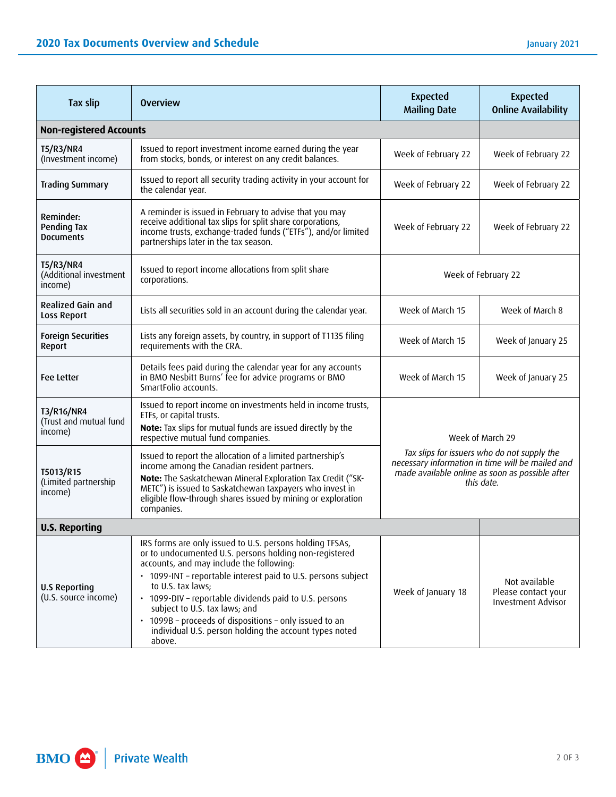| <b>Tax slip</b>                                       | <b>Overview</b>                                                                                                                                                                                                                                                                                                                                                                                                                                                               | <b>Expected</b><br><b>Mailing Date</b>                                                                                                                                               | <b>Expected</b><br><b>Online Availability</b>                     |  |  |
|-------------------------------------------------------|-------------------------------------------------------------------------------------------------------------------------------------------------------------------------------------------------------------------------------------------------------------------------------------------------------------------------------------------------------------------------------------------------------------------------------------------------------------------------------|--------------------------------------------------------------------------------------------------------------------------------------------------------------------------------------|-------------------------------------------------------------------|--|--|
| <b>Non-registered Accounts</b>                        |                                                                                                                                                                                                                                                                                                                                                                                                                                                                               |                                                                                                                                                                                      |                                                                   |  |  |
| <b>T5/R3/NR4</b><br>(Investment income)               | Issued to report investment income earned during the year<br>from stocks, bonds, or interest on any credit balances.                                                                                                                                                                                                                                                                                                                                                          | Week of February 22                                                                                                                                                                  | Week of February 22                                               |  |  |
| <b>Trading Summary</b>                                | Issued to report all security trading activity in your account for<br>the calendar year.                                                                                                                                                                                                                                                                                                                                                                                      | Week of February 22                                                                                                                                                                  | Week of February 22                                               |  |  |
| Reminder:<br>Pending Tax<br>Documents                 | A reminder is issued in February to advise that you may<br>receive additional tax slips for split share corporations,<br>income trusts, exchange-traded funds ("ETFs"), and/or limited<br>partnerships later in the tax season.                                                                                                                                                                                                                                               | Week of February 22                                                                                                                                                                  | Week of February 22                                               |  |  |
| <b>T5/R3/NR4</b><br>(Additional investment<br>income) | Issued to report income allocations from split share<br>corporations.                                                                                                                                                                                                                                                                                                                                                                                                         | Week of February 22                                                                                                                                                                  |                                                                   |  |  |
| <b>Realized Gain and</b><br>Loss Report               | Lists all securities sold in an account during the calendar year.                                                                                                                                                                                                                                                                                                                                                                                                             | Week of March 15                                                                                                                                                                     | Week of March 8                                                   |  |  |
| <b>Foreign Securities</b><br>Report                   | Lists any foreign assets, by country, in support of T1135 filing<br>requirements with the CRA.                                                                                                                                                                                                                                                                                                                                                                                | Week of March 15                                                                                                                                                                     | Week of January 25                                                |  |  |
| <b>Fee Letter</b>                                     | Details fees paid during the calendar year for any accounts<br>in BMO Nesbitt Burns' fee for advice programs or BMO<br>SmartFolio accounts.                                                                                                                                                                                                                                                                                                                                   | Week of March 15                                                                                                                                                                     | Week of January 25                                                |  |  |
| T3/R16/NR4<br>(Trust and mutual fund<br>income)       | Issued to report income on investments held in income trusts,<br>ETFs, or capital trusts.<br>Note: Tax slips for mutual funds are issued directly by the<br>respective mutual fund companies.                                                                                                                                                                                                                                                                                 | Week of March 29<br>Tax slips for issuers who do not supply the<br>necessary information in time will be mailed and<br>made available online as soon as possible after<br>this date. |                                                                   |  |  |
| T5013/R15<br>(Limited partnership<br>income)          | Issued to report the allocation of a limited partnership's<br>income among the Canadian resident partners.<br>Note: The Saskatchewan Mineral Exploration Tax Credit ("SK-<br>METC") is issued to Saskatchewan taxpayers who invest in<br>eligible flow-through shares issued by mining or exploration<br>companies.                                                                                                                                                           |                                                                                                                                                                                      |                                                                   |  |  |
| <b>U.S. Reporting</b>                                 |                                                                                                                                                                                                                                                                                                                                                                                                                                                                               |                                                                                                                                                                                      |                                                                   |  |  |
| <b>U.S Reporting</b><br>(U.S. source income)          | IRS forms are only issued to U.S. persons holding TFSAs,<br>or to undocumented U.S. persons holding non-registered<br>accounts, and may include the following:<br>• 1099-INT - reportable interest paid to U.S. persons subject<br>to U.S. tax laws;<br>• 1099-DIV - reportable dividends paid to U.S. persons<br>subject to U.S. tax laws; and<br>• 1099B - proceeds of dispositions - only issued to an<br>individual U.S. person holding the account types noted<br>above. | Week of January 18                                                                                                                                                                   | Not available<br>Please contact your<br><b>Investment Advisor</b> |  |  |